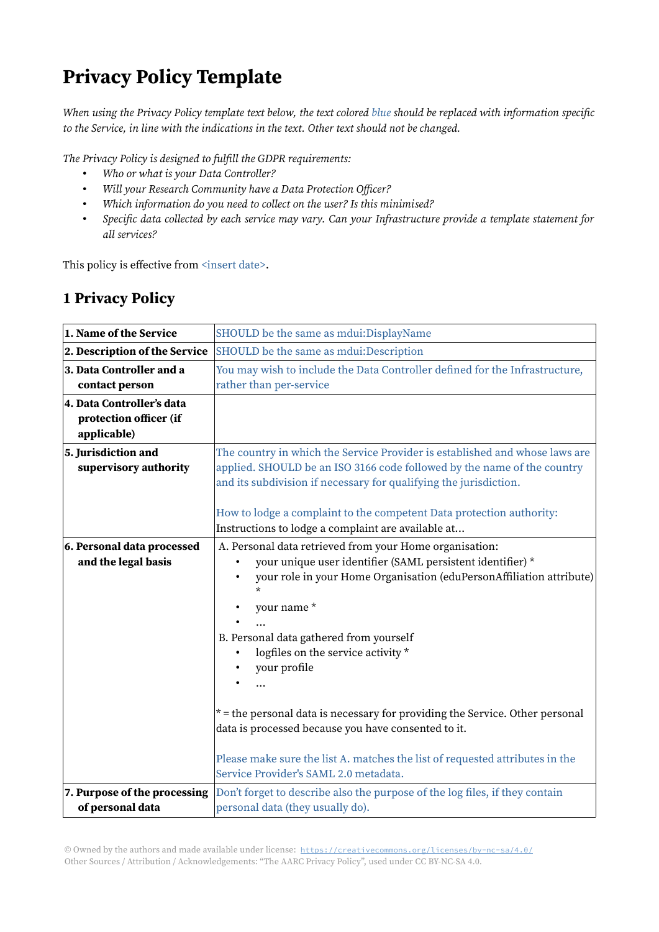## Privacy Policy Template

When using the Privacy Policy template text below, the text colored blue should be replaced with information specific to the Service, in line with the indications in the text. Other text should not be changed.

The Privacy Policy is designed to fulfill the GDPR requirements:

- Who or what is your Data Controller?
- Will your Research Community have a Data Protection Officer?
- Which information do you need to collect on the user? Is this minimised?
- Specific data collected by each service may vary. Can your Infrastructure provide a template statement for all services?

This policy is effective from <insert date>.

## 1 Privacy Policy

| 1. Name of the Service                                             | SHOULD be the same as mdui:DisplayName                                                                                                                                                                                                                                                                                                                                                                                                                                                                                                                                                    |
|--------------------------------------------------------------------|-------------------------------------------------------------------------------------------------------------------------------------------------------------------------------------------------------------------------------------------------------------------------------------------------------------------------------------------------------------------------------------------------------------------------------------------------------------------------------------------------------------------------------------------------------------------------------------------|
| 2. Description of the Service                                      | SHOULD be the same as mdui:Description                                                                                                                                                                                                                                                                                                                                                                                                                                                                                                                                                    |
| 3. Data Controller and a<br>contact person                         | You may wish to include the Data Controller defined for the Infrastructure,<br>rather than per-service                                                                                                                                                                                                                                                                                                                                                                                                                                                                                    |
| 4. Data Controller's data<br>protection officer (if<br>applicable) |                                                                                                                                                                                                                                                                                                                                                                                                                                                                                                                                                                                           |
| 5. Jurisdiction and<br>supervisory authority                       | The country in which the Service Provider is established and whose laws are<br>applied. SHOULD be an ISO 3166 code followed by the name of the country<br>and its subdivision if necessary for qualifying the jurisdiction.<br>How to lodge a complaint to the competent Data protection authority:<br>Instructions to lodge a complaint are available at                                                                                                                                                                                                                                 |
| 6. Personal data processed<br>and the legal basis                  | A. Personal data retrieved from your Home organisation:<br>your unique user identifier (SAML persistent identifier) *<br>your role in your Home Organisation (eduPersonAffiliation attribute)<br>$\star$<br>your name*<br>B. Personal data gathered from yourself<br>logfiles on the service activity *<br>your profile<br>$*$ = the personal data is necessary for providing the Service. Other personal<br>data is processed because you have consented to it.<br>Please make sure the list A. matches the list of requested attributes in the<br>Service Provider's SAML 2.0 metadata. |
| 7. Purpose of the processing<br>of personal data                   | Don't forget to describe also the purpose of the log files, if they contain<br>personal data (they usually do).                                                                                                                                                                                                                                                                                                                                                                                                                                                                           |

© Owned by the authors and made available under license: https://creativecommons.org/licenses/by-nc-sa/4.0/ Other Sources / Attribution / Acknowledgements: "The AARC Privacy Policy", used under CC BY-NC-SA 4.0.